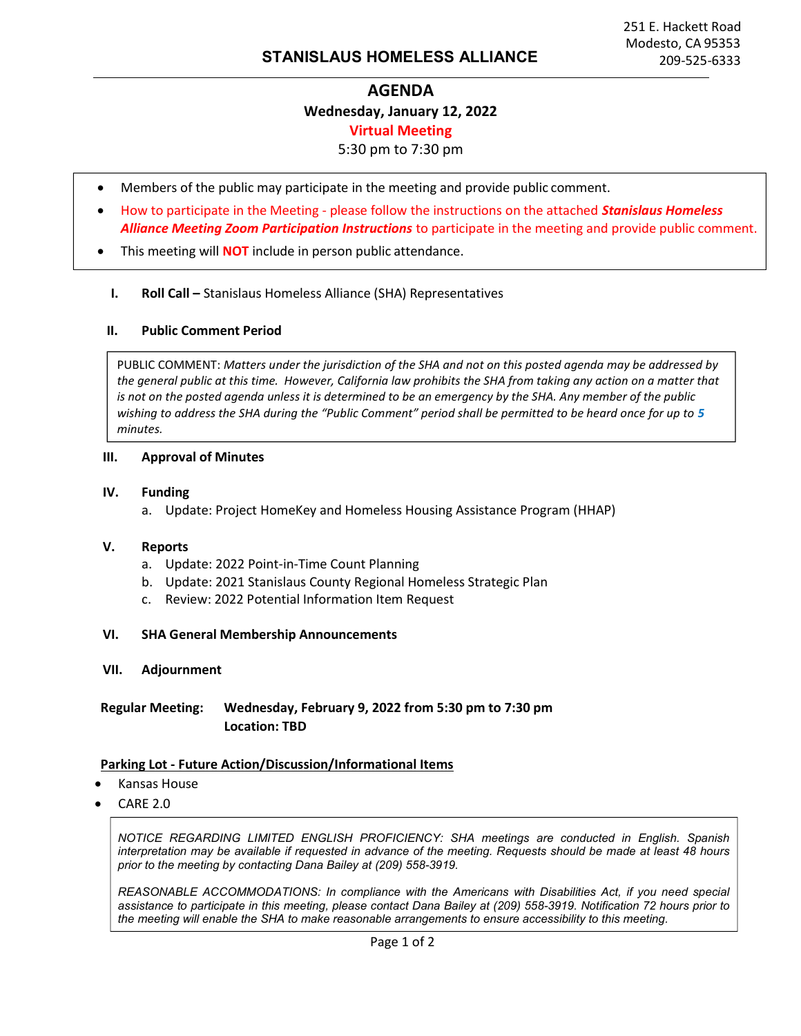# AGENDA Wednesday, January 12, 2022 Virtual Meeting

## 5:30 pm to 7:30 pm

- Members of the public may participate in the meeting and provide public comment.
- How to participate in the Meeting please follow the instructions on the attached Stanislaus Homeless Alliance Meeting Zoom Participation Instructions to participate in the meeting and provide public comment.
- This meeting will **NOT** include in person public attendance.

#### I. Roll Call – Stanislaus Homeless Alliance (SHA) Representatives

#### II. Public Comment Period

PUBLIC COMMENT: Matters under the jurisdiction of the SHA and not on this posted agenda may be addressed by the general public at this time. However, California law prohibits the SHA from taking any action on a matter that is not on the posted agenda unless it is determined to be an emergency by the SHA. Any member of the public wishing to address the SHA during the "Public Comment" period shall be permitted to be heard once for up to 5 minutes.

#### III. Approval of Minutes

#### IV. Funding

a. Update: Project HomeKey and Homeless Housing Assistance Program (HHAP)

#### V. Reports

- a. Update: 2022 Point-in-Time Count Planning
- b. Update: 2021 Stanislaus County Regional Homeless Strategic Plan
- c. Review: 2022 Potential Information Item Request

#### VI. SHA General Membership Announcements

VII. Adjournment

Regular Meeting: Wednesday, February 9, 2022 from 5:30 pm to 7:30 pm Location: TBD

#### Parking Lot - Future Action/Discussion/Informational Items

- Kansas House
- CARE 2.0

NOTICE REGARDING LIMITED ENGLISH PROFICIENCY: SHA meetings are conducted in English. Spanish interpretation may be available if requested in advance of the meeting. Requests should be made at least 48 hours prior to the meeting by contacting Dana Bailey at (209) 558-3919.

REASONABLE ACCOMMODATIONS: In compliance with the Americans with Disabilities Act, if you need special assistance to participate in this meeting, please contact Dana Bailey at (209) 558-3919. Notification 72 hours prior to the meeting will enable the SHA to make reasonable arrangements to ensure accessibility to this meeting.